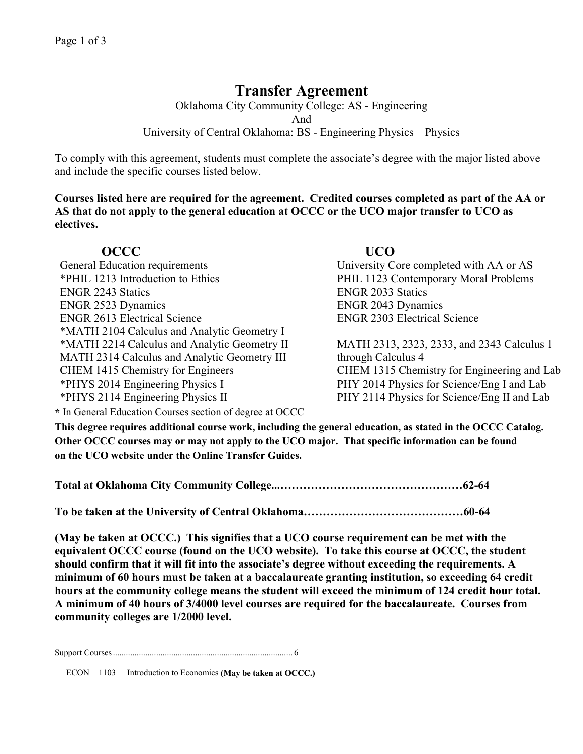# **Transfer Agreement**

Oklahoma City Community College: AS - Engineering And University of Central Oklahoma: BS - Engineering Physics – Physics

To comply with this agreement, students must complete the associate's degree with the major listed above and include the specific courses listed below.

**Courses listed here are required for the agreement. Credited courses completed as part of the AA or AS that do not apply to the general education at OCCC or the UCO major transfer to UCO as electives.**

## **OCCC UCO**

| General Education requirements               | Univer           |
|----------------------------------------------|------------------|
| *PHIL 1213 Introduction to Ethics            | PHIL 1           |
| <b>ENGR 2243 Statics</b>                     | <b>ENGR</b>      |
| <b>ENGR 2523 Dynamics</b>                    | <b>ENGR</b>      |
| <b>ENGR 2613 Electrical Science</b>          | <b>ENGR</b>      |
| *MATH 2104 Calculus and Analytic Geometry I  |                  |
| *MATH 2214 Calculus and Analytic Geometry II | <b>MATH</b>      |
| MATH 2314 Calculus and Analytic Geometry III | throug.          |
| CHEM 1415 Chemistry for Engineers            | <b>CHEM</b>      |
| *PHYS 2014 Engineering Physics I             | PHY <sub>2</sub> |
| $*$ DIJVC 2114 Engineering Devoice II        | ף זות            |

sity Core completed with AA or AS 1123 Contemporary Moral Problems 2033 Statics 2043 Dynamics 2303 Electrical Science

H 2313, 2323, 2333, and 2343 Calculus 1 h Calculus 4 1 1315 Chemistry for Engineering and Lab  $2014$  Physics for Science/Eng I and Lab \*PHYS 2114 Engineering Physics II **PHY 2114 Physics for Science/Eng II and Lab** 

**\*** In General Education Courses section of degree at OCCC

**This degree requires additional course work, including the general education, as stated in the OCCC Catalog. Other OCCC courses may or may not apply to the UCO major. That specific information can be found on the UCO website under the Online Transfer Guides.** 

|--|--|

**To be taken at the University of Central Oklahoma……………………………………60-64**

**(May be taken at OCCC.) This signifies that a UCO course requirement can be met with the equivalent OCCC course (found on the UCO website). To take this course at OCCC, the student should confirm that it will fit into the associate's degree without exceeding the requirements. A minimum of 60 hours must be taken at a baccalaureate granting institution, so exceeding 64 credit hours at the community college means the student will exceed the minimum of 124 credit hour total. A minimum of 40 hours of 3/4000 level courses are required for the baccalaureate. Courses from community colleges are 1/2000 level.**

Support Courses................................................................................... 6

ECON 1103 Introduction to Economics **(May be taken at OCCC.)**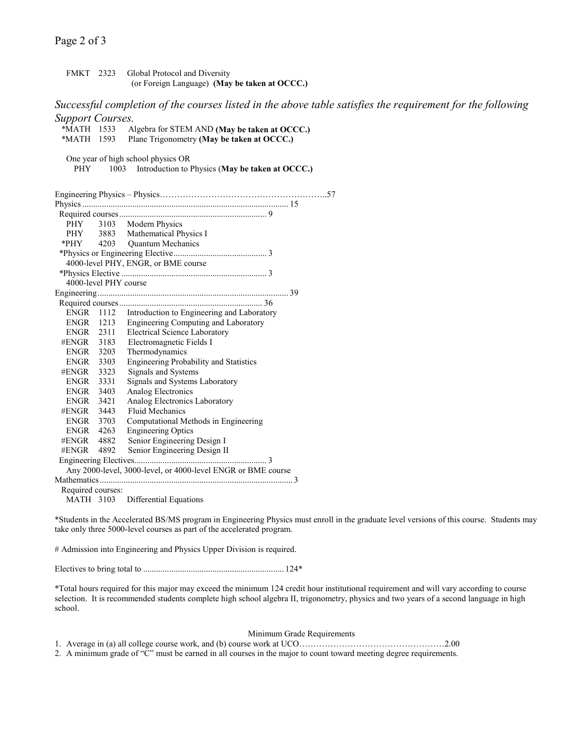### Page 2 of 3

FMKT 2323 Global Protocol and Diversity (or Foreign Language) **(May be taken at OCCC.)**

*Successful completion of the courses listed in the above table satisfies the requirement for the following Support Courses.*

| *MATH 1533            |      | Algebra for STEM AND (May be taken at OCCC.)                                   |
|-----------------------|------|--------------------------------------------------------------------------------|
| *MATH 1593            |      | Plane Trigonometry (May be taken at OCCC.)                                     |
|                       |      | One year of high school physics OR                                             |
| PHY.                  | 1003 | Introduction to Physics (May be taken at OCCC.)                                |
|                       |      |                                                                                |
|                       |      |                                                                                |
|                       |      |                                                                                |
|                       |      |                                                                                |
|                       |      | PHY 3103 Modern Physics                                                        |
|                       |      | PHY 3883 Mathematical Physics I                                                |
|                       |      | *PHY 4203 Quantum Mechanics                                                    |
|                       |      |                                                                                |
|                       |      | 4000-level PHY, ENGR, or BME course                                            |
|                       |      |                                                                                |
| 4000-level PHY course |      |                                                                                |
|                       |      |                                                                                |
|                       |      |                                                                                |
| ENGR                  |      | 1112 Introduction to Engineering and Laboratory                                |
|                       |      | ENGR 1213 Engineering Computing and Laboratory                                 |
|                       |      | ENGR 2311 Electrical Science Laboratory<br>#ENGR 3183 Electromagnetic Fields I |
|                       |      |                                                                                |
| ENGR 3203             |      | Thermodynamics                                                                 |
| ENGR 3303             |      | <b>Engineering Probability and Statistics</b>                                  |
| #ENGR 3323            |      | Signals and Systems                                                            |
| ENGR 3331             |      | Signals and Systems Laboratory                                                 |
| ENGR 3403             |      | Analog Electronics                                                             |
| ENGR 3421             |      | Analog Electronics Laboratory                                                  |
| #ENGR 3443            |      | <b>Fluid Mechanics</b>                                                         |
| ENGR 3703             |      | Computational Methods in Engineering                                           |
| ENGR 4263             |      | <b>Engineering Optics</b>                                                      |
| #ENGR 4882            |      | Senior Engineering Design I                                                    |
| #ENGR                 | 4892 | Senior Engineering Design II                                                   |
|                       |      |                                                                                |
|                       |      | Any 2000-level, 3000-level, or 4000-level ENGR or BME course                   |
|                       |      |                                                                                |
| Required courses:     |      |                                                                                |
|                       |      | MATH 3103 Differential Equations                                               |

\*Students in the Accelerated BS/MS program in Engineering Physics must enroll in the graduate level versions of this course. Students may take only three 5000-level courses as part of the accelerated program.

# Admission into Engineering and Physics Upper Division is required.

Electives to bring total to ................................................................. 124\*

\*Total hours required for this major may exceed the minimum 124 credit hour institutional requirement and will vary according to course selection. It is recommended students complete high school algebra II, trigonometry, physics and two years of a second language in high school.

#### Minimum Grade Requirements

1. Average in (a) all college course work, and (b) course work at UCO……………………………………………2.00

2. A minimum grade of "C" must be earned in all courses in the major to count toward meeting degree requirements.